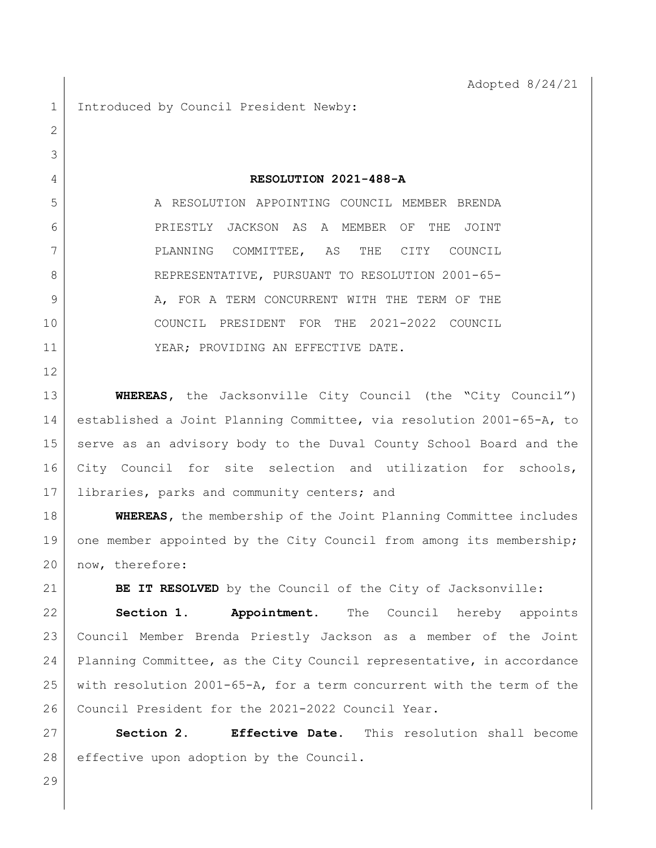1 Introduced by Council President Newby:

**RESOLUTION 2021-488-A**

 A RESOLUTION APPOINTING COUNCIL MEMBER BRENDA PRIESTLY JACKSON AS A MEMBER OF THE JOINT PLANNING COMMITTEE, AS THE CITY COUNCIL 8 REPRESENTATIVE, PURSUANT TO RESOLUTION 2001-65-9 A, FOR A TERM CONCURRENT WITH THE TERM OF THE COUNCIL PRESIDENT FOR THE 2021-2022 COUNCIL 11 | YEAR; PROVIDING AN EFFECTIVE DATE.

**WHEREAS,** the Jacksonville City Council (the "City Council") established a Joint Planning Committee, via resolution 2001-65-A, to 15 | serve as an advisory body to the Duval County School Board and the City Council for site selection and utilization for schools, libraries, parks and community centers; and

**WHEREAS,** the membership of the Joint Planning Committee includes 19 one member appointed by the City Council from among its membership; 20 | now, therefore:

**BE IT RESOLVED** by the Council of the City of Jacksonville:

 **Section 1. Appointment.** The Council hereby appoints Council Member Brenda Priestly Jackson as a member of the Joint Planning Committee, as the City Council representative, in accordance with resolution 2001-65-A, for a term concurrent with the term of the Council President for the 2021-2022 Council Year.

 **Section 2. Effective Date.** This resolution shall become 28 effective upon adoption by the Council.